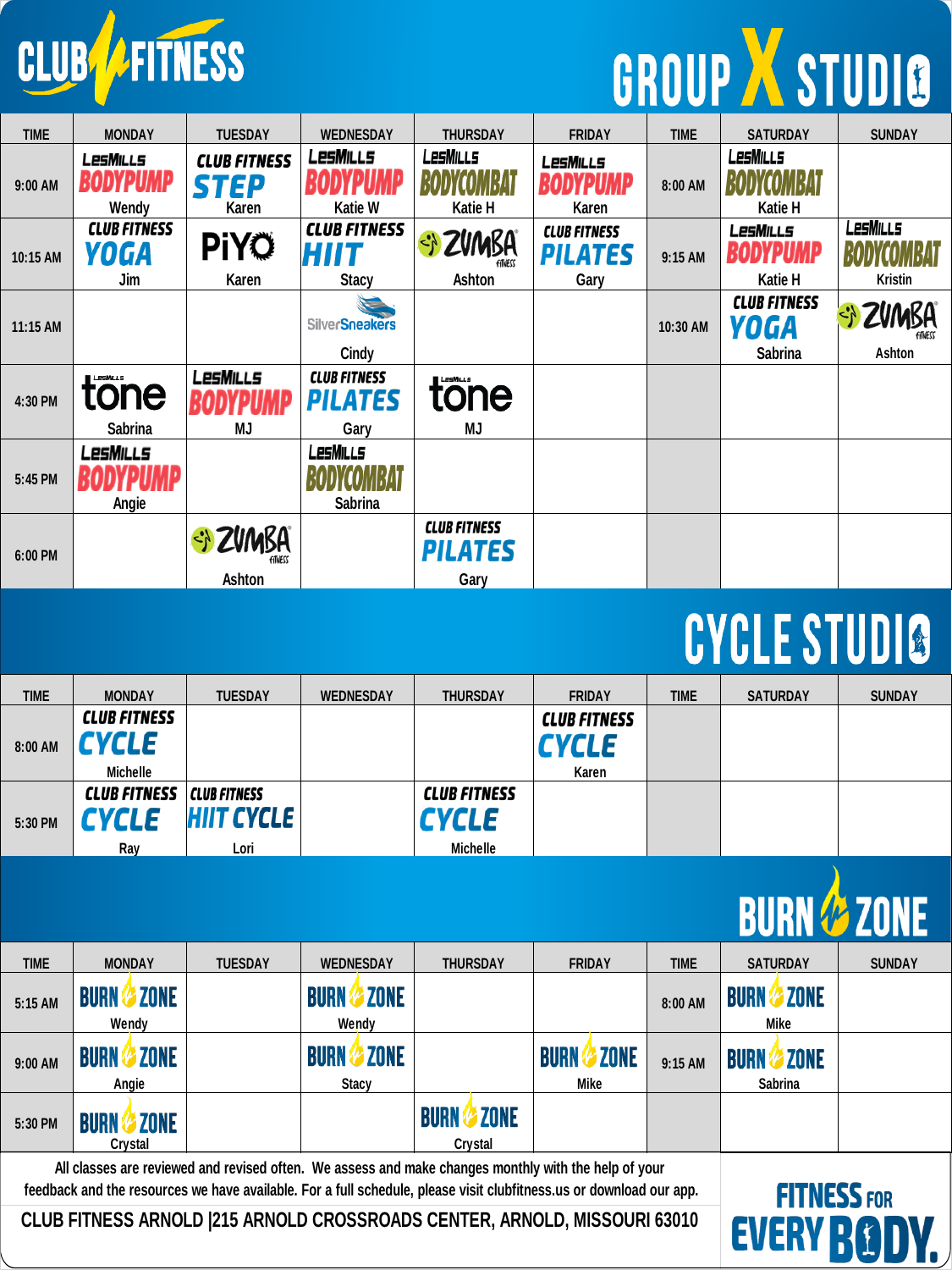

# GROUP X STUDIO

| <b>TIME</b> | <b>MONDAY</b>                      | <b>TUESDAY</b>                       | <b>WEDNESDAY</b>                              | <b>THURSDAY</b>                               | <b>FRIDAY</b>                          | <b>TIME</b> | <b>SATURDAY</b>                               | <b>SUNDAY</b>              |
|-------------|------------------------------------|--------------------------------------|-----------------------------------------------|-----------------------------------------------|----------------------------------------|-------------|-----------------------------------------------|----------------------------|
| 9:00 AM     | LesMills<br>DYPUMP<br>Wendy        | <b>CLUB FITNESS</b><br>STEP<br>Karen | <b>LesMills</b><br>Katie W                    | <b>LesMills</b><br>Katie H                    | LesMills<br>Karen                      | 8:00 AM     | LesMills<br>Katie H                           |                            |
| 10:15 AM    | <b>CLUB FITNESS</b><br>YOGA<br>Jim | <b>PiYÖ</b><br>Karen                 | <b>CLUB FITNESS</b><br>HIIT<br><b>Stacy</b>   | <b>ZVMBA</b><br>₹,<br>Ashton                  | <b>CLUB FITNESS</b><br>PILATES<br>Gary | 9:15 AM     | <b>LesMills</b><br><b>BODYPUMP</b><br>Katie H | LesMills<br><b>Kristin</b> |
| 11:15 AM    |                                    |                                      | <b>SilverSneakers</b><br>Cindy                |                                               |                                        | 10:30 AM    | <b>CLUB FITNESS</b><br>YOGA<br>Sabrina        | Ashton                     |
| 4:30 PM     | tone<br><b>Sabrina</b>             | LesMills<br>MJ                       | <b>CLUB FITNESS</b><br><b>PILATES</b><br>Gary | <b>LESMILLS</b><br>tone<br>MJ                 |                                        |             |                                               |                            |
| 5:45 PM     | LesMills<br>Angie                  |                                      | LesMills<br><b>Sabrina</b>                    |                                               |                                        |             |                                               |                            |
| 6:00 PM     |                                    | SI ZVMBA<br>Ashton                   |                                               | <b>CLUB FITNESS</b><br><b>PILATES</b><br>Gary |                                        |             |                                               |                            |

#### CYCLE STUDIO

| <b>TIME</b> | <b>MONDAY</b>       | <b>TUESDAY</b>      | <b>WEDNESDAY</b> | <b>THURSDAY</b>     | <b>FRIDAY</b>       | <b>TIME</b> | <b>SATURDAY</b> | <b>SUNDAY</b> |
|-------------|---------------------|---------------------|------------------|---------------------|---------------------|-------------|-----------------|---------------|
|             | <b>CLUB FITNESS</b> |                     |                  |                     | <b>CLUB FITNESS</b> |             |                 |               |
| 8:00 AM     | <b>CYCLE</b>        |                     |                  |                     | <b>CYCLE</b>        |             |                 |               |
|             | <b>Michelle</b>     |                     |                  |                     | Karen               |             |                 |               |
|             | <b>CLUB FITNESS</b> | <b>CLUB FITNESS</b> |                  | <b>CLUB FITNESS</b> |                     |             |                 |               |
| 5:30 PM     | <b>CYCLE</b>        | <b>HIIT CYCLE</b>   |                  | <b>CYCLE</b>        |                     |             |                 |               |
|             | Ray                 | Lori                |                  | Michelle            |                     |             |                 |               |



| <b>TIME</b> | <b>MONDAY</b>                          | <b>TUESDAY</b> | <b>WEDNESDAY</b>                           | <b>THURSDAY</b><br><b>FRIDAY</b>      |                                    | <b>TIME</b> | <b>SATURDAY</b>                              | <b>SUNDAY</b> |
|-------------|----------------------------------------|----------------|--------------------------------------------|---------------------------------------|------------------------------------|-------------|----------------------------------------------|---------------|
| 5:15 AM     | <b>ZONE</b><br><b>BURN</b><br>Wendy    |                | <b>ZONE</b><br><b>BURN</b><br>Wendy        |                                       |                                    | 8:00 AM     | ZONE<br><b>BURN</b><br>Mike                  |               |
| $9:00$ AM   | <b>ZONE</b><br><b>BURN</b><br>Angie    |                | <b>ZONE</b><br><b>BURN</b><br><b>Stacy</b> |                                       | <b>ZONE</b><br><b>BURN</b><br>Mike | 9:15 AM     | <b>ZONE</b><br><b>BURN</b><br><b>Sabrina</b> |               |
| 5:30 PM     | <b>ZONE</b><br><b>RIIRI</b><br>Crystal |                |                                            | <b>ZONE</b><br><b>BURN</b><br>Crystal |                                    |             |                                              |               |

**All classes are reviewed and revised often. We assess and make changes monthly with the help of your feedback and the resources we have available. For a full schedule, please visit clubfitness.us or download our app.**

**CLUB FITNESS ARNOLD |215 ARNOLD CROSSROADS CENTER, ARNOLD, MISSOURI 63010** 

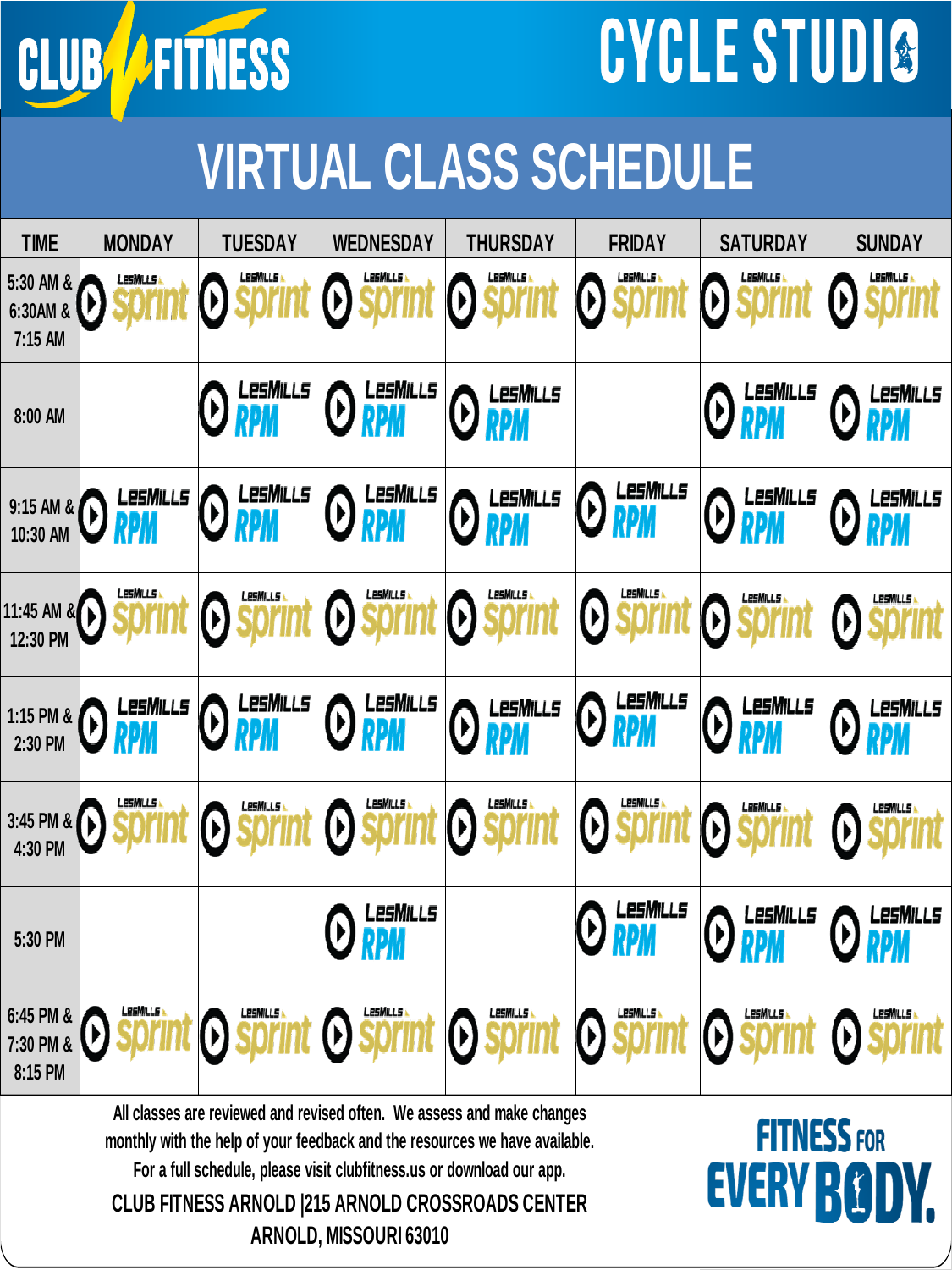

## **CYCLE STUDIO**

### **VIRTUAL CLASS SCHEDULE**

| <b>TIME</b>                       | <b>MONDAY</b>          | <b>TUESDAY</b>                                  | <b>WEDNESDAY</b>                  | <b>THURSDAY</b>                   | <b>FRIDAY</b>                     | <b>SATURDAY</b>                               | <b>SUNDAY</b>                                        |
|-----------------------------------|------------------------|-------------------------------------------------|-----------------------------------|-----------------------------------|-----------------------------------|-----------------------------------------------|------------------------------------------------------|
| 5:30 AM &<br>6:30AM &<br>7:15 AM  | LesMills<br>V          | LesMills<br>V                                   | LesMills<br>$\boldsymbol{\theta}$ | LesMills<br>$\boldsymbol{\Theta}$ | LesMills<br>$\bm{\Theta}$         | LesMills<br>$\bm{\Theta}$                     | LesMills<br>$\boldsymbol{\Theta}$                    |
| 8:00 AM                           |                        | <b>O RPM</b>                                    | <b>O</b> LESMILLS                 | <b>O</b> LESMILLS                 |                                   | <b>O RPM</b>                                  | <b>O RPM</b>                                         |
| 9:15 AM &<br>10:30 AM             | LesMills<br><b>RPM</b> | LesMills<br>$\boldsymbol{\Theta}$<br><b>RPM</b> | <b>ORPM</b>                       | LesMills<br><b>O</b> RPM          | LesMills<br><b>O</b> RPM          | LesMills<br><b>O</b> RPM                      | LesMills<br>$\bm{\Theta}$                            |
| 11:45 AM &<br>12:30 PM            | LesMills               | LesMills<br>$\Theta$                            | LesMills<br>$\Theta$              | LesMills<br>$\Theta$              | LesMills<br>$\Theta$              | LesMills<br>$\boldsymbol{\Theta}$             | LesMills<br>$\left(\!\rule{0pt}{12pt}\right)$        |
| 1:15 PM &<br>2:30 PM              | LesMills<br><b>RPM</b> | LesMills<br><b>O</b> RPM                        | <b>ORPM</b>                       | LesMills<br>$\odot$<br><b>RPM</b> | LesMills<br><b>O</b> RPM          | LesMills<br><b>ORPM</b>                       | LesMills<br>$\left(\boldsymbol{\mathsf{b}}\right)$   |
| 3:45 PM &<br>4:30 PM              | LesMills               | LesMills<br>$\Omega$                            | LesMills<br>$\Theta$              | LesMills<br>$\boldsymbol{\Theta}$ | LesMills<br>$\Theta$              | LesMills<br>$\mathbf{0}$                      | $\Theta$                                             |
| 5:30 PM                           |                        |                                                 | LesMills<br>$\bm{\Theta}$ RPM     |                                   | LesMills<br>$\Theta$ RPM          | LesMills<br>$\Theta$<br>RPM                   | LesMills<br>Ø)                                       |
| 6:45 PM &<br>7:30 PM &<br>8:15 PM | LesMills               | LesMills<br>D                                   | <b>LesMills</b><br>Ø              | LesMills<br>$\Theta$              | LesMills<br>$\boldsymbol{\Theta}$ | LesMills<br>$\left(\!\rule{0pt}{12pt}\right)$ | <b>LesMiLLs</b><br>$\left(\!\rule{0pt}{12pt}\right)$ |

**All classes are reviewed and revised often. We assess and make changes monthly with the help of your feedback and the resources we have available.** 

**For a full schedule, please visit clubfitness.us or download our app.** 

**CLUB FITNESS ARNOLD |215 ARNOLD CROSSROADS CENTER ARNOLD, MISSOURI 63010**

#### **FITNESS FOR EVERY BO**